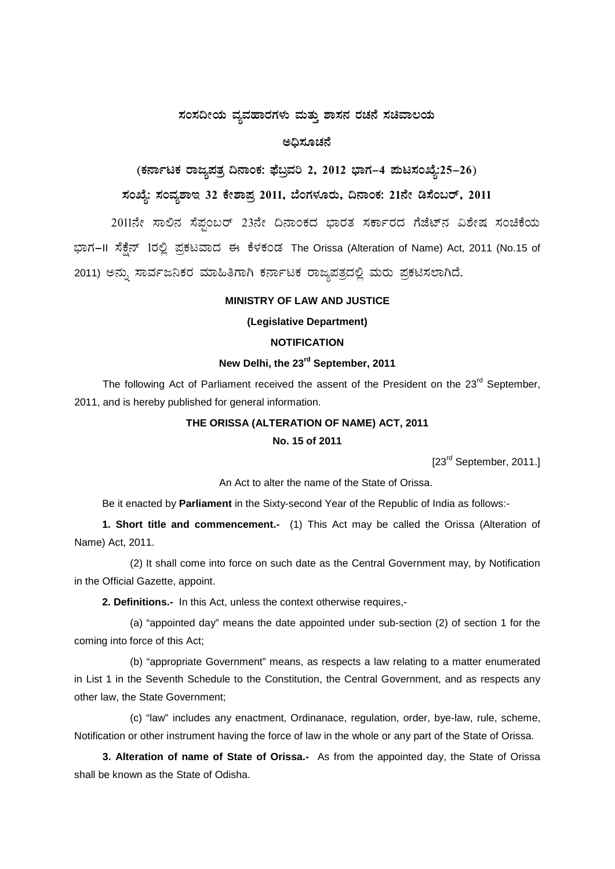### ಸಂಸದೀಯ ವ್ಯವಹಾರಗಳು ಮತ್ತು ಶಾಸನ ರಚನೆ ಸಚಿವಾಲಯ

### ಅದಿಸೂಚನೆ

# (ಕರ್ನಾಟಕ ರಾಜ್ಯಪತ್ರ ದಿನಾಂಕ: ಫೆಬ್ರವರಿ 2, 2012 ಭಾಗ–4 ಪುಟಸಂಖ್ಯೆ:25–26)

# ಸಂಖ್ಯೆ: ಸಂವ್ಯಶಾಇ 32 ಕೇಶಾಪ್ರ 2011, ಬೆಂಗಳೂರು, ದಿನಾಂಕ: 21ನೇ ಡಿಸೆಂಬರ್, 2011

2011ನೇ ಸಾಲಿನ ಸೆಪ್ಪಂಬರ್ 23ನೇ ದಿನಾಂಕದ ಭಾರತ ಸರ್ಕಾರದ ಗೆಜೆಟ್ನ ವಿಶೇಷ ಸಂಚಿಕೆಯ ಭಾಗ-II ಸೆಕ್ಸೆನ್ 1ರಲ್ಲಿ ಪ್ರಕಟವಾದ ಈ ಕೆಳಕಂಡ The Orissa (Alteration of Name) Act, 2011 (No.15 of 2011) ಅನ್ನು ಸಾರ್ವಜನಿಕರ ಮಾಹಿತಿಗಾಗಿ ಕರ್ನಾಟಕ ರಾಜ್ಯಪತ್ರದಲ್ಲಿ ಮರು ಪ್ರಕಟಿಸಲಾಗಿದೆ.

## **MINISTRY OF LAW AND JUSTICE**

#### (Legislative Department)

#### **NOTIFICATION**

### New Delhi, the 23rd September, 2011

The following Act of Parliament received the assent of the President on the 23rd September, 2011, and is hereby published for general information.

## THE ORISSA (ALTERATION OF NAME) ACT, 2011 No. 15 of 2011

[23<sup>rd</sup> September, 2011.]

An Act to alter the name of the State of Orissa.

Be it enacted by **Parliament** in the Sixty-second Year of the Republic of India as follows:-

1. Short title and commencement.- (1) This Act may be called the Orissa (Alteration of Name) Act, 2011.

(2) It shall come into force on such date as the Central Government may, by Notification in the Official Gazette, appoint.

2. Definitions.- In this Act, unless the context otherwise requires,-

(a) "appointed day" means the date appointed under sub-section (2) of section 1 for the coming into force of this Act;

(b) "appropriate Government" means, as respects a law relating to a matter enumerated in List 1 in the Seventh Schedule to the Constitution, the Central Government, and as respects any other law, the State Government;

(c) "law" includes any enactment, Ordinanace, regulation, order, bye-law, rule, scheme, Notification or other instrument having the force of law in the whole or any part of the State of Orissa.

3. Alteration of name of State of Orissa.- As from the appointed day, the State of Orissa shall be known as the State of Odisha.